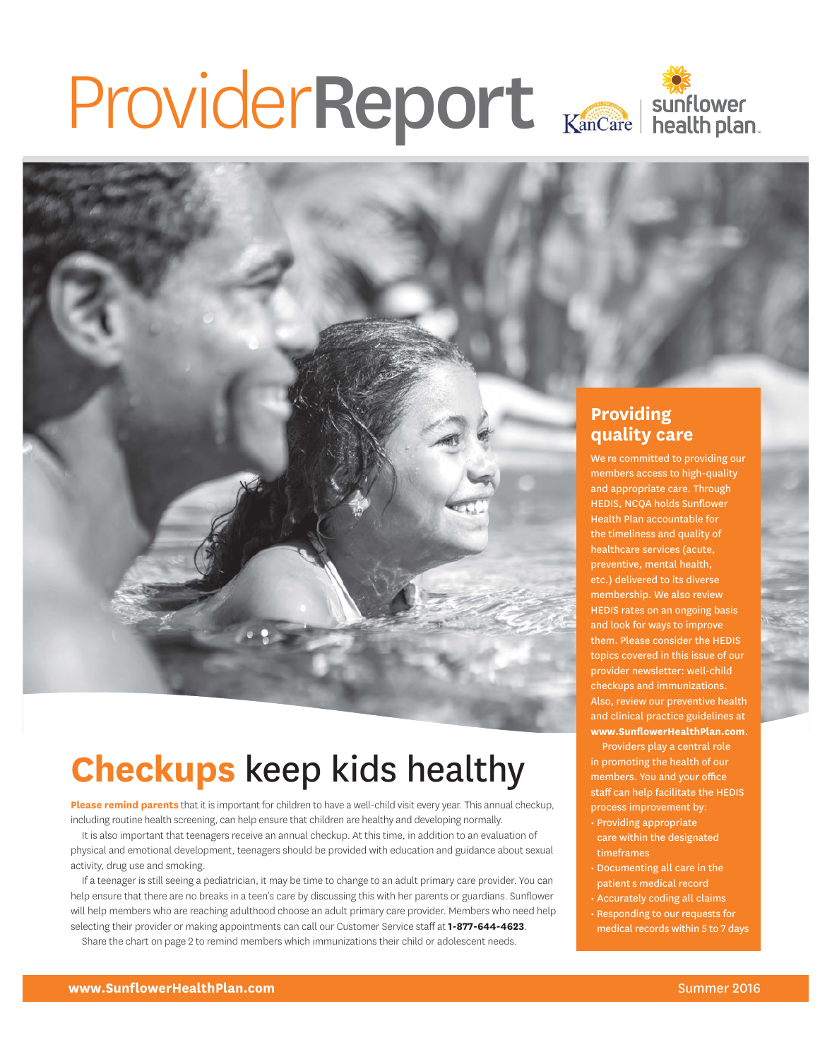# ProviderReport



#### **Providing quality care**

We re committed to providing our members access to high-quality and appropriate care. Through HEDIS, NCQA holds Sunflower Health Plan accountable for the timeliness and quality of healthcare services (acute, preventive, mental health, etc.) delivered to its diverse membership. We also review HEDIS rates on an ongoing basis and look for ways to improve them. Please consider the HEDIS topics covered in this issue of our provider newsletter: well-child checkups and immunizations. Also, review our preventive health and clinical practice guidelines at **www.SunflowerHealthPlan.com**.

Providers play a central role in promoting the health of our members. You and your office staff can help facilitate the HEDIS process improvement by:

- Providing appropriate care within the designated timeframes
- patient s medical record • Documenting all care in the
- Accurately coding all claims
- Responding to our requests for medical records within 5 to 7 days

### **Checkups** keep kids healthy

**Please remind parents** that it is important for children to have a well-child visit every year. This annual checkup, including routine health screening, can help ensure that children are healthy and developing normally.

It is also important that teenagers receive an annual checkup. At this time, in addition to an evaluation of physical and emotional development, teenagers should be provided with education and guidance about sexual activity, drug use and smoking.

If a teenager is still seeing a pediatrician, it may be time to change to an adult primary care provider. You can help ensure that there are no breaks in a teen's care by discussing this with her parents or guardians. Sunflower will help members who are reaching adulthood choose an adult primary care provider. Members who need help selecting their provider or making appointments can call our Customer Service staff at **1-877-644-4623**.

Share the chart on page 2 to remind members which immunizations their child or adolescent needs.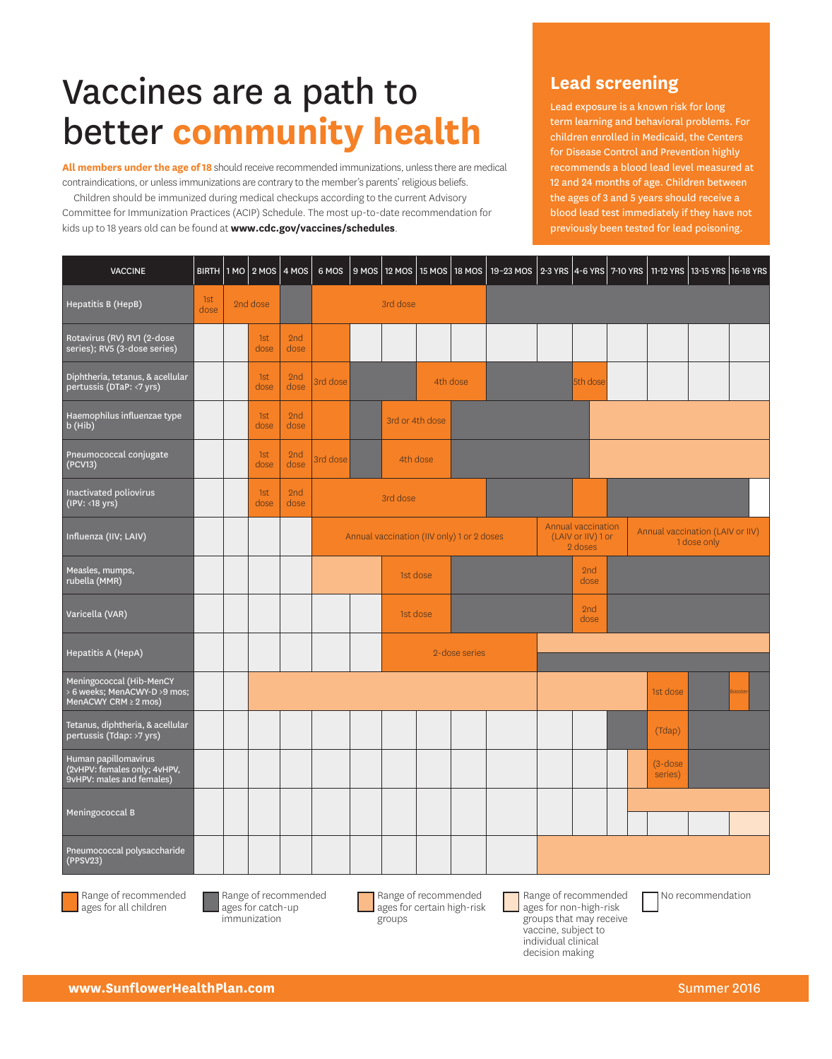## Vaccines are a path to better **community health**

**All members under the age of 18** should receive recommended immunizations, unless there are medical contraindications, or unless immunizations are contrary to the member's parents' religious beliefs.

Children should be immunized during medical checkups according to the current Advisory Committee for Immunization Practices (ACIP) Schedule. The most up-to-date recommendation for kids up to 18 years old can be found at **www.cdc.gov/vaccines/schedules**.

#### **Lead screening**

Lead exposure is a known risk for long term learning and behavioral problems. For children enrolled in Medicaid, the Centers for Disease Control and Prevention highly recommends a blood lead level measured at 12 and 24 months of age. Children between the ages of 3 and 5 years should receive a blood lead test immediately if they have not previously been tested for lead poisoning.

| <b>VACCINE</b>                                                                                                                                                                                                          |             |  | BIRTH $ 1MO 2MOS $ | 4 MOS       |                                            |  | 6 MOS   9 MOS   12 MOS   15 MOS |          | 18 MOS   | 19-23 MOS 2-3 YRS 4-6 YRS 7-10 YRS 11-12 YRS 13-15 YRS 16-18 YRS                                       |             |  |                       |  |        |
|-------------------------------------------------------------------------------------------------------------------------------------------------------------------------------------------------------------------------|-------------|--|--------------------|-------------|--------------------------------------------|--|---------------------------------|----------|----------|--------------------------------------------------------------------------------------------------------|-------------|--|-----------------------|--|--------|
| Hepatitis B (HepB)                                                                                                                                                                                                      | 1st<br>dose |  | 2nd dose           |             |                                            |  | 3rd dose                        |          |          |                                                                                                        |             |  |                       |  |        |
| Rotavirus (RV) RV1 (2-dose<br>series); RV5 (3-dose series)                                                                                                                                                              |             |  | 1st<br>dose        | 2nd<br>dose |                                            |  |                                 |          |          |                                                                                                        |             |  |                       |  |        |
| Diphtheria, tetanus, & acellular<br>pertussis (DTaP: <7 yrs)                                                                                                                                                            |             |  | 1st<br>dose        | 2nd<br>dose | 3rd dose                                   |  |                                 |          | 4th dose |                                                                                                        | 5th dose    |  |                       |  |        |
| Haemophilus influenzae type<br>$b$ (Hib)                                                                                                                                                                                |             |  | 1st<br>dose        | 2nd<br>dose |                                            |  | 3rd or 4th dose                 |          |          |                                                                                                        |             |  |                       |  |        |
| Pneumococcal conjugate<br>(PCV13)                                                                                                                                                                                       |             |  | 1st<br>dose        | 2nd<br>dose | 3rd dose                                   |  |                                 | 4th dose |          |                                                                                                        |             |  |                       |  |        |
| Inactivated poliovirus<br>$(IPV: \langle 18 \rangle)$                                                                                                                                                                   |             |  | 1st<br>dose        | 2nd<br>dose |                                            |  | 3rd dose                        |          |          |                                                                                                        |             |  |                       |  |        |
| Influenza (IIV; LAIV)                                                                                                                                                                                                   |             |  |                    |             | Annual vaccination (IIV only) 1 or 2 doses |  |                                 |          |          | Annual vaccination<br>Annual vaccination (LAIV or IIV)<br>(LAIV or IIV) 1 or<br>1 dose only<br>2 doses |             |  |                       |  |        |
| Measles, mumps,<br>rubella (MMR)                                                                                                                                                                                        |             |  |                    |             |                                            |  | 1st dose                        |          |          | 2nd<br>dose                                                                                            |             |  |                       |  |        |
| Varicella (VAR)                                                                                                                                                                                                         |             |  |                    |             |                                            |  | 1st dose                        |          |          |                                                                                                        | 2nd<br>dose |  |                       |  |        |
| Hepatitis A (HepA)                                                                                                                                                                                                      |             |  |                    |             |                                            |  | 2-dose series                   |          |          |                                                                                                        |             |  |                       |  |        |
| Meningococcal (Hib-MenCY<br>> 6 weeks; MenACWY-D > 9 mos;<br>MenACWY CRM $\geq$ 2 mos)                                                                                                                                  |             |  |                    |             |                                            |  |                                 |          |          |                                                                                                        |             |  | 1st dose              |  | looste |
| Tetanus, diphtheria, & acellular<br>pertussis (Tdap: >7 yrs)                                                                                                                                                            |             |  |                    |             |                                            |  |                                 |          |          |                                                                                                        |             |  | (Tdap)                |  |        |
| Human papillomavirus<br>(2vHPV: females only; 4vHPV,<br>9vHPV: males and females)                                                                                                                                       |             |  |                    |             |                                            |  |                                 |          |          |                                                                                                        |             |  | $(3-dose)$<br>series) |  |        |
| Meningococcal B                                                                                                                                                                                                         |             |  |                    |             |                                            |  |                                 |          |          |                                                                                                        |             |  |                       |  |        |
| Pneumococcal polysaccharide<br>(PPSV23)                                                                                                                                                                                 |             |  |                    |             |                                            |  |                                 |          |          |                                                                                                        |             |  |                       |  |        |
| Range of recommended<br>Range of recommended<br>Range of recommended<br>Range of recommended<br>No recommendation<br>ages for all children<br>ages for catch-up<br>ages for certain high-risk<br>ages for non-high-risk |             |  |                    |             |                                            |  |                                 |          |          |                                                                                                        |             |  |                       |  |        |

ages for catch-up **ages for certain high-risk** ages for certain high-risk ages for non-high-risk ages for non-h

groups **groups** groups that may receive vaccine, subject to individual clinical decision making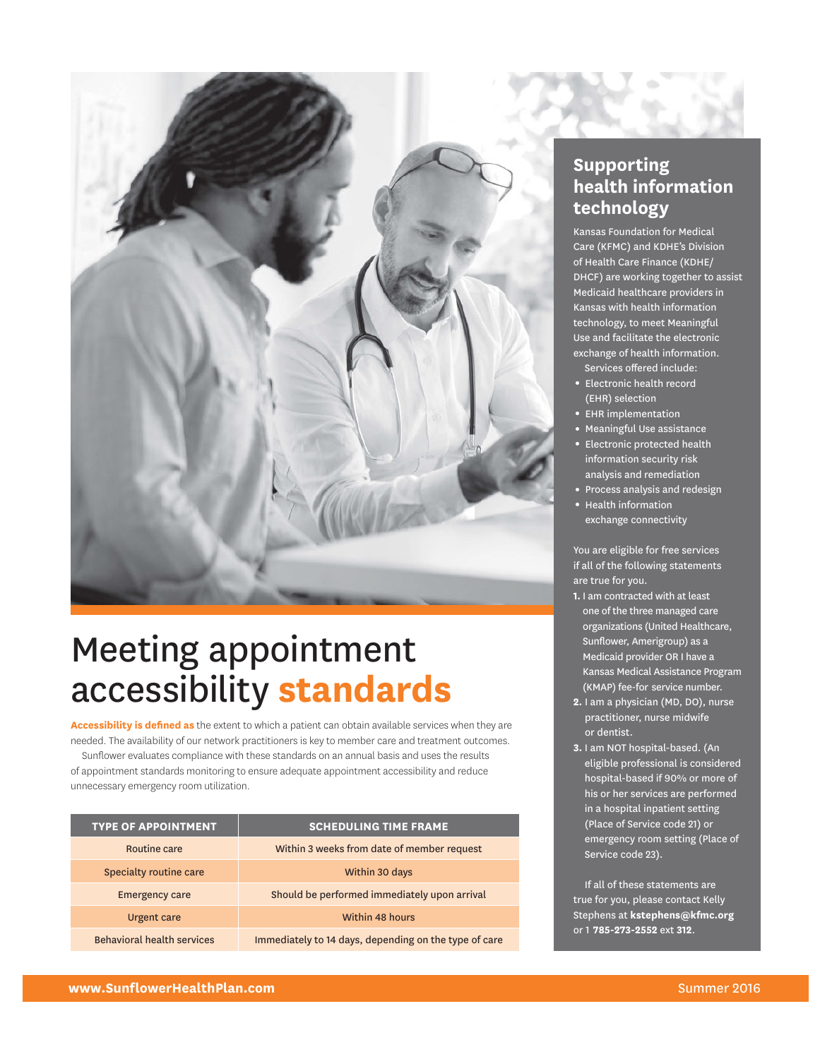

### Meeting appointment accessibility **standards**

**Accessibility is defined as** the extent to which a patient can obtain available services when they are needed. The availability of our network practitioners is key to member care and treatment outcomes. Sunflower evaluates compliance with these standards on an annual basis and uses the results

of appointment standards monitoring to ensure adequate appointment accessibility and reduce unnecessary emergency room utilization.

| <b>TYPE OF APPOINTMENT</b>        | <b>SCHEDULING TIME FRAME</b>                          |  |  |  |  |  |
|-----------------------------------|-------------------------------------------------------|--|--|--|--|--|
| Routine care                      | Within 3 weeks from date of member request            |  |  |  |  |  |
| Specialty routine care            | Within 30 days                                        |  |  |  |  |  |
| <b>Emergency care</b>             | Should be performed immediately upon arrival          |  |  |  |  |  |
| <b>Urgent care</b>                | Within 48 hours                                       |  |  |  |  |  |
| <b>Behavioral health services</b> | Immediately to 14 days, depending on the type of care |  |  |  |  |  |

### **Supporting health information technology**

Kansas Foundation for Medical Care (KFMC) and KDHE's Division of Health Care Finance (KDHE/ DHCF) are working together to assist Medicaid healthcare providers in Kansas with health information technology, to meet Meaningful Use and facilitate the electronic exchange of health information.

- Services offered include:
- Electronic health record (EHR) selection
- EHR implementation
- Meaningful Use assistance
- Electronic protected health information security risk analysis and remediation
- Process analysis and redesign
- Health information exchange connectivity

You are eligible for free services if all of the following statements are true for you.

- **1.** I am contracted with at least one of the three managed care organizations (United Healthcare, Sunflower, Amerigroup) as a Medicaid provider OR I have a Kansas Medical Assistance Program (KMAP) fee-for service number.
- **2.** I am a physician (MD, DO), nurse practitioner, nurse midwife or dentist.
- **3.** I am NOT hospital-based. (An eligible professional is considered hospital-based if 90% or more of his or her services are performed in a hospital inpatient setting (Place of Service code 21) or emergency room setting (Place of Service code 23).

If all of these statements are true for you, please contact Kelly Stephens at **kstephens@kfmc.org**  or 1 -**785-273-2552** ext **312**.